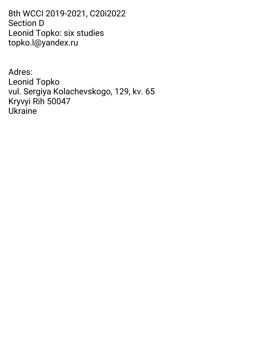8thWCCI2019-2021,C20i2022 Section D Leonid Topko: six studies topko.l@yandex.ru

Adres: Leonid Topko vul. Sergiya Kolachevskogo, 129, kv. 65 Kryvyi Rih 50047 Ukraine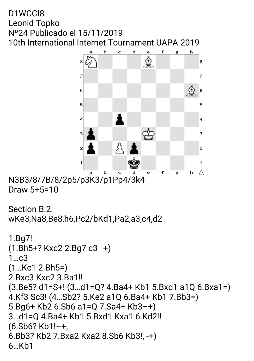### D1WCCI8 Leonid Topko Nº24 Publicado el 15/11/2019 10th International Internet Tournament UAPA-2019



N3B3/8/7B/8/2p5/p3K3/p1Pp4/3k4 Draw5+5=10

```
Section B.2.
wKe3,Na8,Be8,h6,Pc2/bKd1,Pa2,a3,c4,d2
1.Bg7!
(1.Bh5+? Kxc2 2.Bg7 c3-+)
1…c3
(1…Kc12.Bh5=)
2.Bxc3Kxc23.Ba1!!
(3.Be5?d1=S+!(3…d1=Q?4.Ba4+Kb15.Bxd1a1Q6.Bxa1=)
4.Kf3Sc3!(4…Sb2?5.Ke2a1Q6.Ba4+Kb17.Bb3=)
5.Bg6+Kb26.Sb6a1=Q7.Sa4+Kb3–+)
3...d1=Q 4.Ba4+ Kb1 5.Bxd1 Kxa1 6.Kd2!!
(6.5b6?Kb1!-\text{+}6.Bb3?Kb27.Bxa2Kxa28.Sb6Kb3!,-+)
6…Kb1
```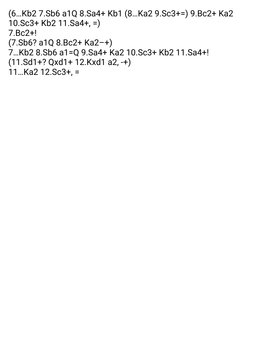```
(6...Kb2 7.Sb6 a1Q 8.Sa4+ Kb1 (8...Ka2 9.Sc3+=) 9.Bc2+ Ka2
10.Sc3+Kb211.Sa4+,=)
7.Bc2+!
(7.Sb6?a1Q8.Bc2+Ka2–+)
7…Kb28.Sb6a1=Q9.Sa4+Ka210.Sc3+Kb211.Sa4+!
(11.Sd1+?Qxd1+12.Kxd1a2,-+)
11…Ka212.Sc3+,=
```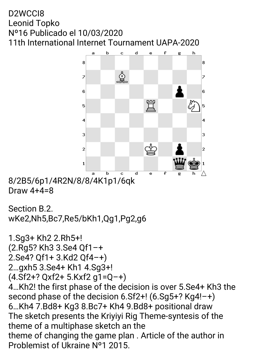### D2WCCI8 Leonid Topko Nº16 Publicado el 10/03/2020 11th International Internet Tournament UAPA-2020



8/2B5/6p1/4R2N/8/8/4K1p1/6qk Draw  $4+4=8$ 

```
Section B.2.
wKe2,Nh5,Bc7,Re5/bKh1,Qg1,Pg2,g6
```

```
1.Sg3+Kh22.Rh5+!
(2.Rg5?Kh33.Se4Qf1–+
2.Se4? Qf1+ 3.Kd2 Qf4-+)
2…gxh53.Se4+Kh14.Sg3+!
(4.Sf2+?Qxf2+5.Kxf2g1=Q–+)
4...Kh2! the first phase of the decision is over 5.Se4+ Kh3 the
second phase of the decision 6.Sf2+! (6.Sg5+? Kg4!-+)
6...Kh4 7.Bd8+ Kg3 8.Bc7+ Kh4 9.Bd8+ positional draw
The sketch presents the Kriyiyi Rig Theme-syntesis of the
theme of a multiphase sketch an the
theme of changing the game plan. Article of the author in
Problemist of Ukraine Nº1 2015.
```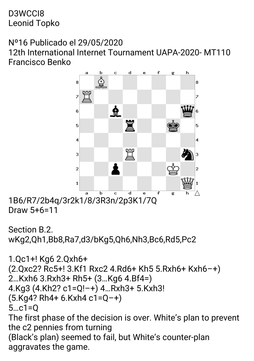D3WCCI8 Leonid Topko

Nº16 Publicado el 29/05/2020

12th International Internet Tournament UAPA-2020-MT110 Francisco Benko



1B6/R7/2b4q/3r2k1/8/3R3n/2p3K1/7Q Draw5+6=11

```
Section B.2.
wKg2,Qh1,Bb8,Ra7,d3/bKg5,Qh6,Nh3,Bc6,Rd5,Pc2
```

```
1.Qc1+! Kg6 2.Qxh6+
(2.Qxc2?Rc5+!3.Kf1Rxc24.Rd6+Kh55.Rxh6+Kxh6–+)
2…Kxh63.Rxh3+Rh5+(3…Kg64.Bf4=)
4.Kg3(4.Kh2?c1=Q!–+)4…Rxh3+5.Kxh3!
(5.Kq4? Rh4+6.Kxh4 c1=Q-+)5…c1=Q
The first phase of the decision is over. White's plan to prevent
the c2 pennies from turning
(Black's plan) seemed to fail, but White's counter-plan
aggravates the game.
```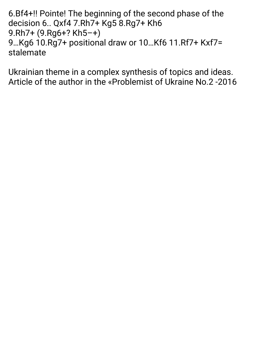6. Bf4+!! Pointe! The beginning of the second phase of the decision 6.. Qxf4 7.Rh7+ Kg5 8.Rg7+ Kh6 9.Rh7+ (9.Rg6+? Kh5-+) 9.Kg6 10.Rg7+ positional draw or 10.Kf6 11.Rf7+ Kxf7= stalemate

Ukrainian theme in a complex synthesis of topics and ideas. Article of the author in the «Problemist of Ukraine No.2-2016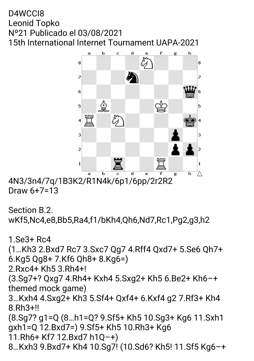### D4WCCI8 Leonid Topko Nº21 Publicado el 03/08/2021 15th International Internet Tournament UAPA-2021



4N3/3n4/7q/1B3K2/R1N4k/6p1/6pp/2r2R2 Draw6+7=13

```
Section B.2.
wKf5,Nc4,e8,Bb5,Ra4,f1/bKh4,Qh6,Nd7,Rc1,Pg2,g3,h2
```
1.Se3+Rc4 (1…Kh32.Bxd7Rc73.Sxc7Qg74.Rff4Qxd7+5.Se6Qh7+ 6.Kg5Qg8+7.Kf6Qh8+8.Kg6=) 2.Rxc4+Kh53.Rh4+! (3.Sg7+?Qxg74.Rh4+Kxh45.Sxg2+Kh56.Be2+Kh6–+ themed mock game) 3…Kxh44.Sxg2+Kh35.Sf4+Qxf4+6.Kxf4g27.Rf3+Kh4 8.Rh3+!! (8.Sg7?g1=Q(8…h1=Q?9.Sf5+Kh510.Sg3+Kg611.Sxh1 gxh1=Q12.Bxd7=)9.Sf5+Kh510.Rh3+Kg6 11.Rh6+Kf712.Bxd7h1Q–+) 8…Kxh39.Bxd7+Kh410.Sg7!(10.Sd6?Kh5!11.Sf5Kg6–+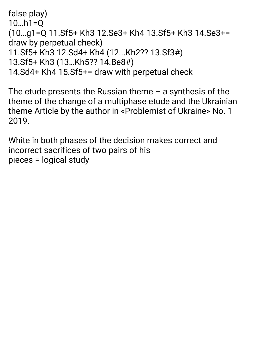false play)  $10...h1=0$ (10…g1=Q11.Sf5+Kh312.Se3+Kh413.Sf5+Kh314.Se3+= draw by perpetual check) 11.Sf5+Kh312.Sd4+Kh4(12...Kh2??13.Sf3#) 13.Sf5+Kh3(13…Kh5??14.Be8#) 14. Sd4+ Kh4 15. Sf5+= draw with perpetual check

The etude presents the Russian theme  $-$  a synthesis of the theme of the change of a multiphase etude and the Ukrainian theme Article by the author in «Problemist of Ukraine» No. 1 2019.

White in both phases of the decision makes correct and incorrect sacrifices of two pairs of his pieces = logical study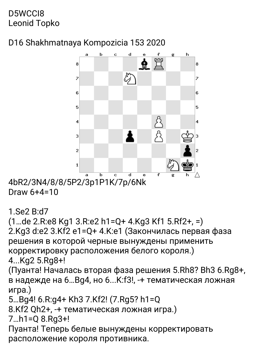## D5WCCI8 Leonid Topko

# D<sub>16</sub> Shakhmatnava Kompozicia 153 2020



4bR2/3N4/8/8/5P2/3p1P1K/7p/6Nk Draw  $6+4=10$ 

### $1$ . Se $2$  B: d $7$

```
(1...de 2.R:e8 Kg1 3.R:e2 h1=0+ 4.Kg3 Kf1 5.Rf2+. =)
2. Kg3 d:e2 3. Kf2 e1=Q+4. K:e1 (Закончилась первая фаза
решения в которой черные вынуждены применить
корректировку расположения белого короля.)
4...Ka2 5.Ra8+!
```
(Пуанта! Началась вторая фаза решения 5.Rh8? Bh3 6.Rg8+, в надежде на 6... Вд4, но 6... К: f3!, -+ тематическая ложная игра.)

```
5...Bq4! 6.R:q4+ Kh3 7.Kf2! (7.Rq5? h1=Q
```

```
8. Kf2 Qh2+, -+ тематическая ложная игра.)
```

```
7.h1=Q 8.Rg3+!
```
Пуанта! Теперь белые вынуждены корректировать расположение короля противника.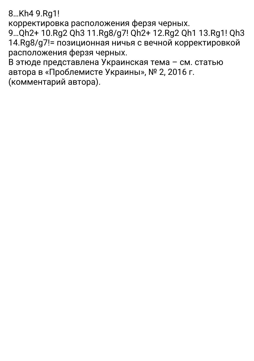8…Kh49.Rg1!

корректировка расположения ферзя черных.

9…Qh2+10.Rg2Qh311.Rg8/g7!Qh2+12.Rg2Qh113.Rg1!Qh3 14.Rg8/g7!= позиционная ничья с вечной корректировкой расположения ферзя черных.

ВэтюдепредставленаУкраинскаятема–см.статью автора в «Проблемисте Украины», № 2, 2016 г. (комментарийавтора).